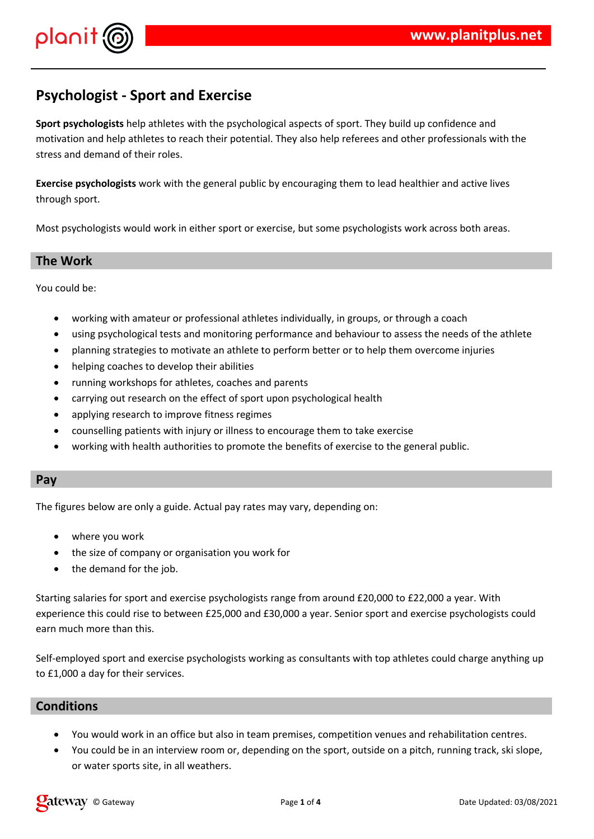

# **Psychologist - Sport and Exercise**

**Sport psychologists** help athletes with the psychological aspects of sport. They build up confidence and motivation and help athletes to reach their potential. They also help referees and other professionals with the stress and demand of their roles.

**Exercise psychologists** work with the general public by encouraging them to lead healthier and active lives through sport.

Most psychologists would work in either sport or exercise, but some psychologists work across both areas.

#### **The Work**

You could be:

- working with amateur or professional athletes individually, in groups, or through a coach
- using psychological tests and monitoring performance and behaviour to assess the needs of the athlete
- planning strategies to motivate an athlete to perform better or to help them overcome injuries
- helping coaches to develop their abilities
- running workshops for athletes, coaches and parents
- carrying out research on the effect of sport upon psychological health
- applying research to improve fitness regimes
- counselling patients with injury or illness to encourage them to take exercise
- working with health authorities to promote the benefits of exercise to the general public.

#### **Pay**

The figures below are only a guide. Actual pay rates may vary, depending on:

- where you work
- the size of company or organisation you work for
- the demand for the job.

Starting salaries for sport and exercise psychologists range from around £20,000 to £22,000 a year. With experience this could rise to between £25,000 and £30,000 a year. Senior sport and exercise psychologists could earn much more than this.

Self-employed sport and exercise psychologists working as consultants with top athletes could charge anything up to £1,000 a day for their services.

#### **Conditions**

- You would work in an office but also in team premises, competition venues and rehabilitation centres.
- You could be in an interview room or, depending on the sport, outside on a pitch, running track, ski slope, or water sports site, in all weathers.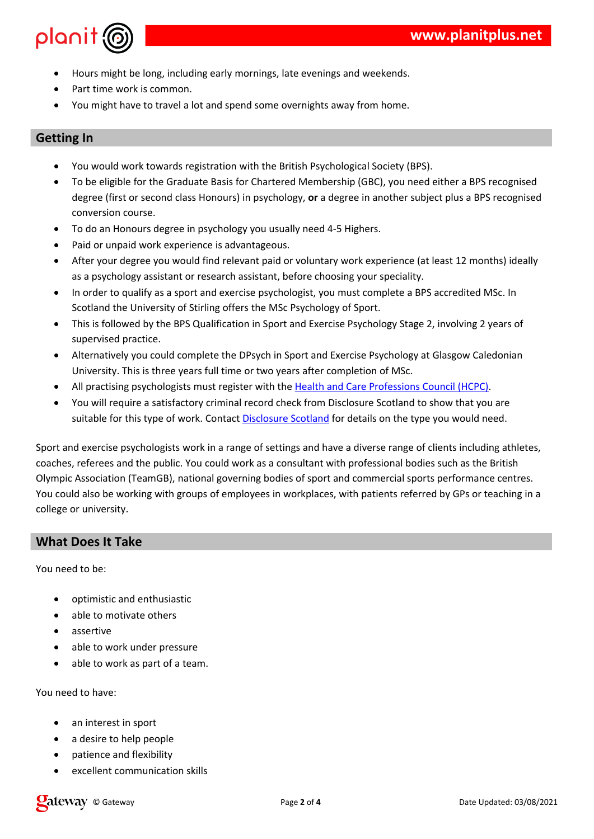```
1 " \begin{array}{ccc} 1 & \cdots & \cdots & \cdots \\ \vdots & \ddots & \ddots & \ddots \\ \vdots & \ddots & \ddots & \ddots \\ \vdots & \ddots & \ddots & \ddots \end{array}
```

```
( $
                                                                \overline{2}\overline{\mathbf{c}}3 1! !
 \frac{1}{2} \frac{1}{2} \frac{1}{2} \frac{1}{2} \frac{1}{2} \frac{1}{2} \frac{1}{2} \frac{1}{2} \frac{1}{2} \frac{1}{2} \frac{1}{2} \frac{1}{2} \frac{1}{2} \frac{1}{2} \frac{1}{2} \frac{1}{2} \frac{1}{2} \frac{1}{2} \frac{1}{2} \frac{1}{2} \frac{1}{2} \frac{1}{2} 1 \t1\sim 10^{-10} M _\odotI Service
\star#!! # ! $ & ! 3 " ! 4
                                                                \sim 18<sup>8</sup>7!\overline{\phantom{a}}, \frac{1}{1} \frac{1}{1} #
                                                                     \mathbf{I}% ,2, 9 \vdots \vdots \vdots \vdots \vdots\left( \begin{array}{ccc} 0 & 0 & 0 \\ 0 & 0 & 0 \end{array} \right) , where \left( \begin{array}{ccc} 0 & 0 & 0 \\ 0 & 0 & 0 \end{array} \right) , where \left( \begin{array}{ccc} 0 & 0 & 0 \\ 0 & 0 & 0 \end{array} \right)\begin{array}{cccc}\n & & \# & \\
\star & & \vdots & \# \\
\end{array}5 \qquad \qquad 1 \qquad\frac{1}{2}, \frac{1}{2}, \frac{1}{2}, \frac{1}{2}\mathbf{u}^{\dagger}\frac{1}{2} #
                                                                                                                               \%,
                                                                               \begin{array}{c|cc} 1 & 1 & 5 \\ \hline \end{array}\begin{array}{cc} n & & \\ & n & 1 \end{array}1 5 1 315 54
                    \sim 1\overline{\mathcal{S}}\frac{1}{10}\langle \cdot, \cdot \rangle . In the \langle \cdot, \cdot \rangle\left(8<sup>8</sup>\frac{1}{2} 5 1 \frac{1}{2} 1 \frac{1}{2} 1
                   \begin{array}{cccccccccccc} \text{\$} & & & & \text{\$} & & & \text{\$} & & & \text{\$} & & \text{\$} & & \text{\$} & & \text{\$} & & \text{\$} & & \text{\$} & & \text{\$} & & \text{\$} & & \text{\$} & & \text{\$} & & \text{\$} & & \text{\$} & & \text{\$} & & \text{\$} & & \text{\$} & & \text{\$} & & \text{\$} & & \text{\$} & & \text{\$} & & \text{\$} & & \text{\$} & & \text{\$} & & \text{\$} & & \text{\$} & & \text{\$} & & \text{\$} & & \text{\$\frac{1}{2} &
   \Omega_{\rm{max}}=1 .
                                                                                                                                                                              \overline{2}\mathbf{u} = \mathbf{I} .
```
 $\frac{1}{2}$   $\frac{1}{2}$ 

 $\ddot{\phantom{a}}$  $\overline{(\ }$ 

 $($  !



 $\mathbb{R}^n$  . In the set of the set of the set of the set of the set of the set of the set of the set of the set of the set of the set of the set of the set of the set of the set of the set of the set of the set of the set

 $\frac{1}{2}$   $\frac{1}{2}$  & 8. ! "" ! ! \$

 $\mathbf{u}$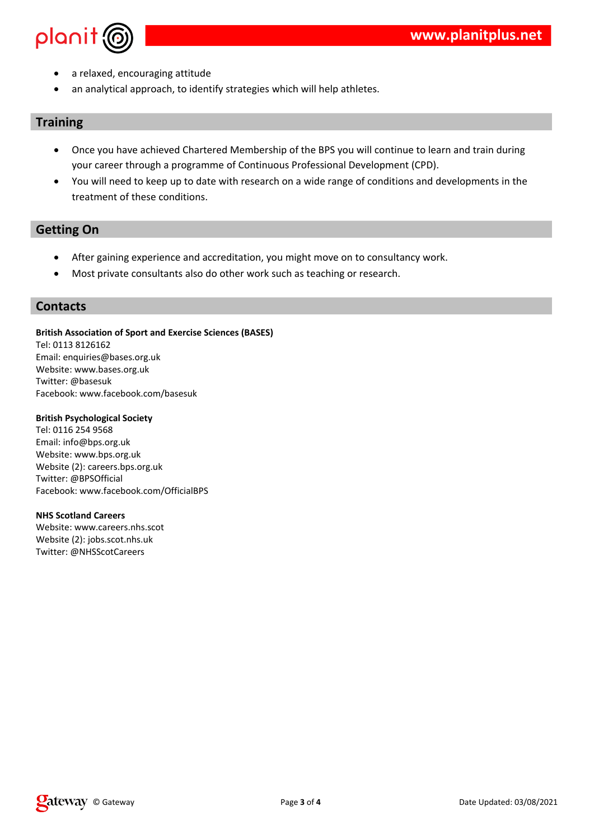



- a relaxed, encouraging attitude
- an analytical approach, to identify strategies which will help athletes.

# **Training**

- Once you have achieved Chartered Membership of the BPS you will continue to learn and train during your career through a programme of Continuous Professional Development (CPD).
- You will need to keep up to date with research on a wide range of conditions and developments in the treatment of these conditions.

## **Getting On**

- After gaining experience and accreditation, you might move on to consultancy work.
- Most private consultants also do other work such as teaching or research.

## **Contacts**

**British Association of Sport and Exercise Sciences (BASES)** Tel: 0113 8126162 Email: enquiries@bases.org.uk Website: www.bases.org.uk Twitter: @basesuk Facebook: www.facebook.com/basesuk

#### **British Psychological Society**

Tel: 0116 254 9568 Email: info@bps.org.uk Website: www.bps.org.uk Website (2): careers.bps.org.uk Twitter: @BPSOfficial Facebook: www.facebook.com/OfficialBPS

#### **NHS Scotland Careers**

Website: www.careers.nhs.scot Website (2): jobs.scot.nhs.uk Twitter: @NHSScotCareers